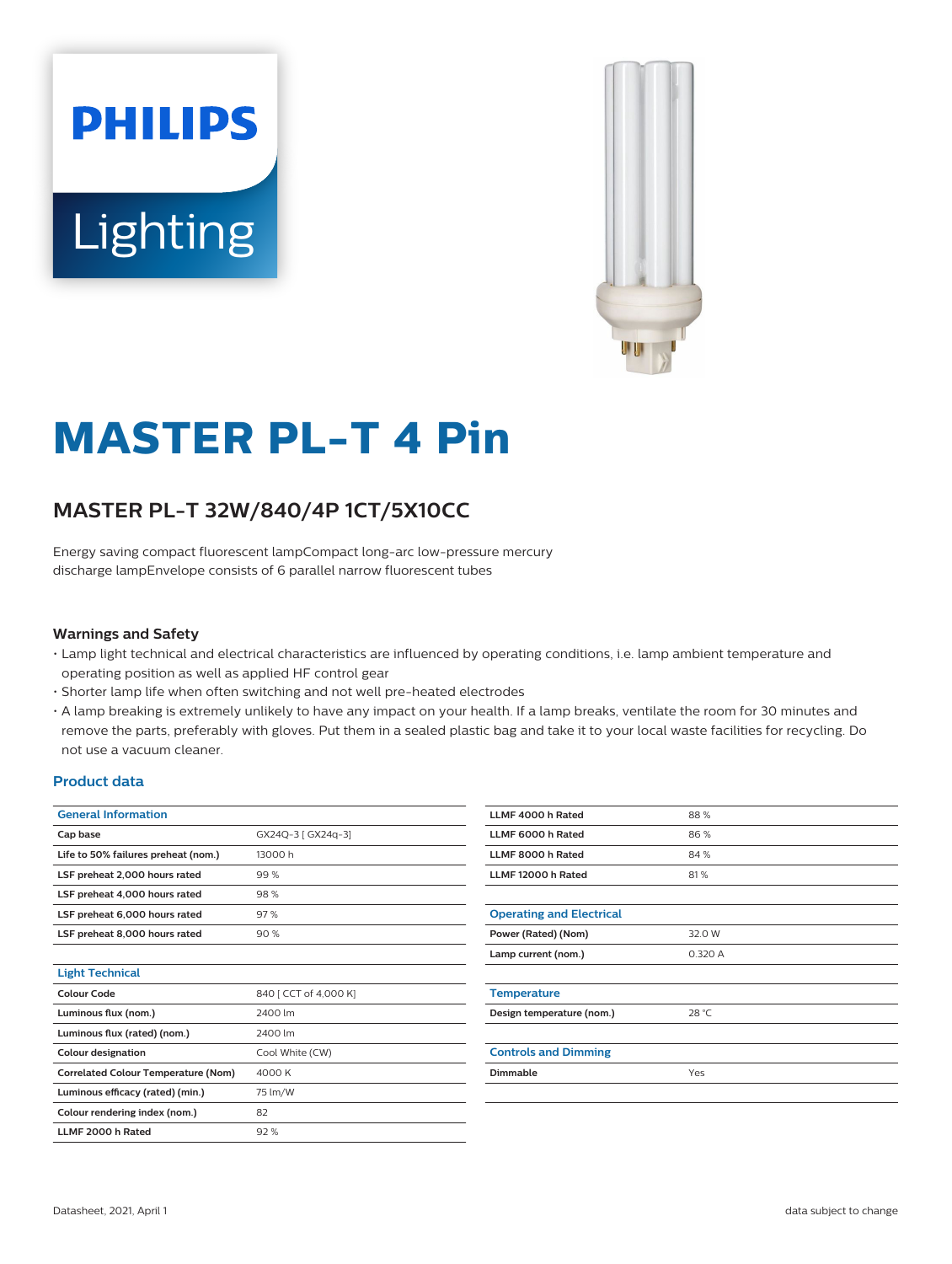



# **MASTER PL-T 4 Pin**

## **MASTER PL-T 32W/840/4P 1CT/5X10CC**

Energy saving compact fluorescent lampCompact long-arc low-pressure mercury discharge lampEnvelope consists of 6 parallel narrow fluorescent tubes

### **Warnings and Safety**

- Lamp light technical and electrical characteristics are influenced by operating conditions, i.e. lamp ambient temperature and operating position as well as applied HF control gear
- Shorter lamp life when often switching and not well pre-heated electrodes
- A lamp breaking is extremely unlikely to have any impact on your health. If a lamp breaks, ventilate the room for 30 minutes and remove the parts, preferably with gloves. Put them in a sealed plastic bag and take it to your local waste facilities for recycling. Do not use a vacuum cleaner.

## **Product data**

| <b>General Information</b>                 |                       |
|--------------------------------------------|-----------------------|
| Cap base                                   | GX24Q-3 [ GX24q-3]    |
| Life to 50% failures preheat (nom.)        | 13000 h               |
| LSF preheat 2,000 hours rated              | 99%                   |
| LSF preheat 4,000 hours rated              | 98%                   |
| LSF preheat 6,000 hours rated              | 97%                   |
| LSF preheat 8,000 hours rated              | 90%                   |
|                                            |                       |
| <b>Light Technical</b>                     |                       |
| Colour Code                                | 840 [ CCT of 4,000 K] |
| Luminous flux (nom.)                       | 2400 lm               |
| Luminous flux (rated) (nom.)               | 2400 lm               |
| <b>Colour designation</b>                  | Cool White (CW)       |
| <b>Correlated Colour Temperature (Nom)</b> | 4000 K                |
| Luminous efficacy (rated) (min.)           | 75 lm/W               |
| Colour rendering index (nom.)              | 82                    |
| LLME 2000 h Rated                          | 92%                   |

| LLMF 4000 h Rated               | 88%     |
|---------------------------------|---------|
| LLMF 6000 h Rated               | 86%     |
| LLMF 8000 h Rated               | 84%     |
| LLMF 12000 h Rated              | 81%     |
|                                 |         |
| <b>Operating and Electrical</b> |         |
| Power (Rated) (Nom)             | 32.0 W  |
| Lamp current (nom.)             | 0.320 A |
|                                 |         |
| <b>Temperature</b>              |         |
| Design temperature (nom.)       | 28 °C   |
|                                 |         |
| <b>Controls and Dimming</b>     |         |
| <b>Dimmable</b>                 | Yes     |
|                                 |         |
|                                 |         |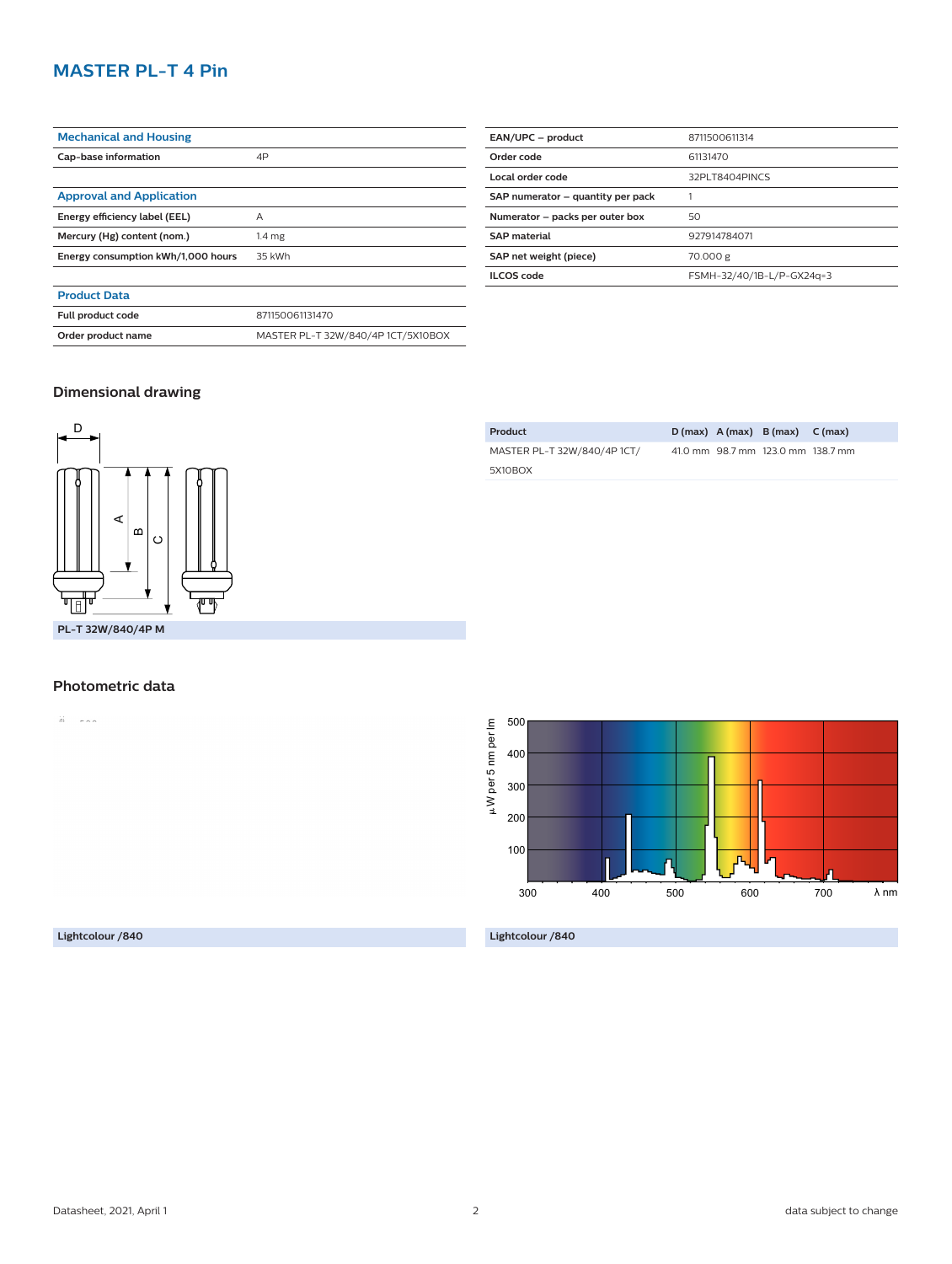## **MASTER PL-T 4 Pin**

| <b>Mechanical and Housing</b>      |                                    |
|------------------------------------|------------------------------------|
| Cap-base information               | 4P                                 |
|                                    |                                    |
| <b>Approval and Application</b>    |                                    |
| Energy efficiency label (EEL)      | Α                                  |
| Mercury (Hg) content (nom.)        | 1.4 <sub>mg</sub>                  |
| Energy consumption kWh/1,000 hours | 35 kWh                             |
|                                    |                                    |
| <b>Product Data</b>                |                                    |
| Full product code                  | 871150061131470                    |
| Order product name                 | MASTER PL-T 32W/840/4P 1CT/5X10BOX |

| EAN/UPC - product                 | 8711500611314             |
|-----------------------------------|---------------------------|
| Order code                        | 61131470                  |
| Local order code                  | 32PLT8404PINCS            |
| SAP numerator – quantity per pack |                           |
| Numerator - packs per outer box   | 50                        |
| <b>SAP</b> material               | 927914784071              |
| SAP net weight (piece)            | 70.000 g                  |
| <b>ILCOS</b> code                 | FSMH-32/40/1B-L/P-GX24q=3 |

**Product D (max) A (max) B (max) C (max)**

41.0 mm 98.7 mm 123.0 mm 138.7 mm

MASTER PL-T 32W/840/4P 1CT/

5X10BOX

## **Dimensional drawing**



#### **Photometric data**

 $\overleftrightarrow{a}$  =  $\overleftrightarrow{a}$  =  $\overleftrightarrow{a}$ 

 $\mu$ W per 5 nm per lm 500 W per 5 nm per lm 400 300 200 100 λ nm 700 300 400 500 600

**Lightcolour /840**

**Lightcolour /840**